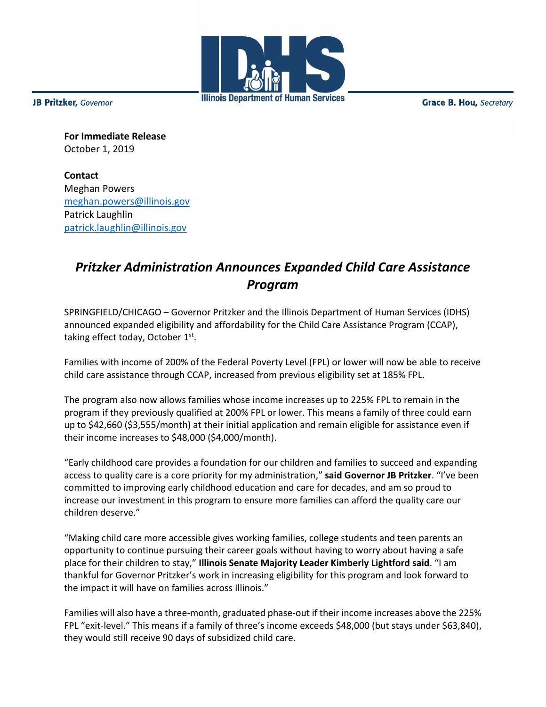

**JB Pritzker**, Governor

**Grace B. Hou, Secretary** 

**For Immediate Release** October 1, 2019

**Contact** Meghan Powers [meghan.powers@illinois.gov](mailto:meghan.powers@illinois.gov) Patrick Laughlin [patrick.laughlin@illinois.gov](mailto:patrick.laughlin@illinois.gov)

## *Pritzker Administration Announces Expanded Child Care Assistance Program*

SPRINGFIELD/CHICAGO – Governor Pritzker and the Illinois Department of Human Services (IDHS) announced expanded eligibility and affordability for the Child Care Assistance Program (CCAP), taking effect today, October 1st.

Families with income of 200% of the Federal Poverty Level (FPL) or lower will now be able to receive child care assistance through CCAP, increased from previous eligibility set at 185% FPL.

The program also now allows families whose income increases up to 225% FPL to remain in the program if they previously qualified at 200% FPL or lower. This means a family of three could earn up to \$42,660 (\$3,555/month) at their initial application and remain eligible for assistance even if their income increases to \$48,000 (\$4,000/month).

"Early childhood care provides a foundation for our children and families to succeed and expanding access to quality care is a core priority for my administration," **said Governor JB Pritzker**. "I've been committed to improving early childhood education and care for decades, and am so proud to increase our investment in this program to ensure more families can afford the quality care our children deserve."

"Making child care more accessible gives working families, college students and teen parents an opportunity to continue pursuing their career goals without having to worry about having a safe place for their children to stay," **Illinois Senate Majority Leader Kimberly Lightford said**. "I am thankful for Governor Pritzker's work in increasing eligibility for this program and look forward to the impact it will have on families across Illinois."

Families will also have a three-month, graduated phase-out if their income increases above the 225% FPL "exit-level." This means if a family of three's income exceeds \$48,000 (but stays under \$63,840), they would still receive 90 days of subsidized child care.